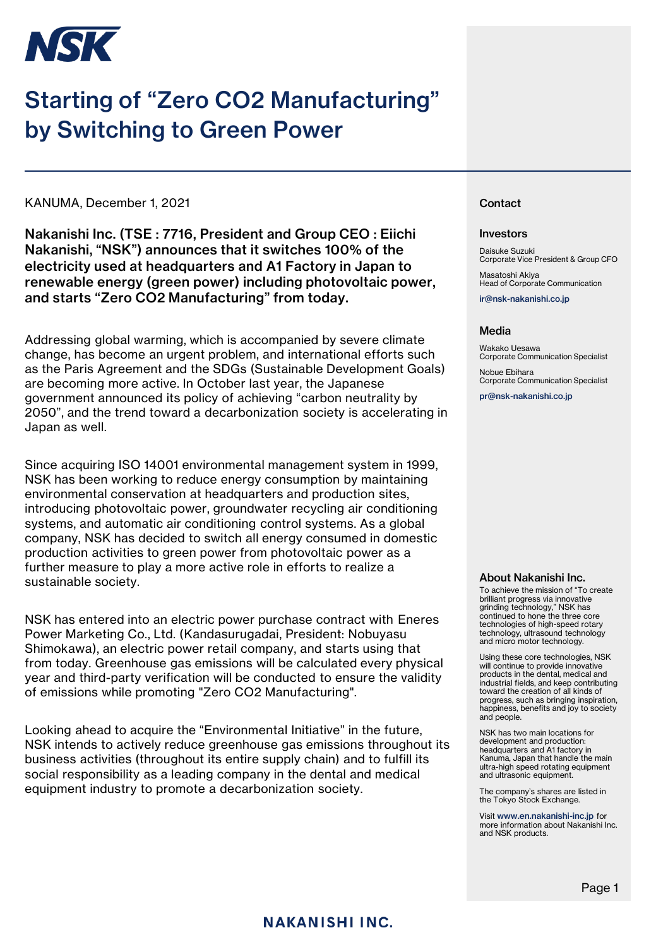

# Starting of "Zero CO2 Manufacturing" by Switching to Green Power

KANUMA, December 1, 2021

Nakanishi Inc. (TSE : 7716, President and Group CEO : Eiichi Nakanishi, "NSK") announces that it switches 100% of the electricity used at headquarters and A1 Factory in Japan to renewable energy (green power) including photovoltaic power, and starts "Zero CO2 Manufacturing" from today.

Addressing global warming, which is accompanied by severe climate change, has become an urgent problem, and international efforts such as the Paris Agreement and the SDGs (Sustainable Development Goals) are becoming more active. In October last year, the Japanese government announced its policy of achieving "carbon neutrality by 2050", and the trend toward a decarbonization society is accelerating in Japan as well.

Since acquiring ISO 14001 environmental management system in 1999, NSK has been working to reduce energy consumption by maintaining environmental conservation at headquarters and production sites, introducing photovoltaic power, groundwater recycling air conditioning systems, and automatic air conditioning control systems. As a global company, NSK has decided to switch all energy consumed in domestic production activities to green power from photovoltaic power as a further measure to play a more active role in efforts to realize a sustainable society.

NSK has entered into an electric power purchase contract with Eneres Power Marketing Co., Ltd. (Kandasurugadai, President: Nobuyasu Shimokawa), an electric power retail company, and starts using that from today. Greenhouse gas emissions will be calculated every physical year and third-party verification will be conducted to ensure the validity of emissions while promoting "Zero CO2 Manufacturing".

Looking ahead to acquire the "Environmental Initiative" in the future, NSK intends to actively reduce greenhouse gas emissions throughout its business activities (throughout its entire supply chain) and to fulfill its social responsibility as a leading company in the dental and medical equipment industry to promote a decarbonization society.

#### **Contact**

#### Investors

Daisuke Suzuki Corporate Vice President & Group CFO

Masatoshi Akiya Head of Corporate Communication

ir@nsk-nakanishi.co.jp

#### Media

Wakako Uesawa Corporate Communication Specialist

Nobue Ebihara Corporate Communication Specialist

pr@nsk-nakanishi.co.jp

#### About Nakanishi Inc.

To achieve the mission of "To create brilliant progress via innovative grinding technology," NSK has continued to hone the three core technologies of high-speed rotary technology, ultrasound technology and micro motor technology.

Using these core technologies, NSK will continue to provide innovative products in the dental, medical and industrial fields, and keep contributing toward the creation of all kinds of progress, such as bringing inspiration, happiness, benefits and joy to society and people.

NSK has two main locations for development and production: headquarters and A1 factory in Kanuma, Japan that handle the main ultra-high speed rotating equipment and ultrasonic equipment

The company's shares are listed in the Tokyo Stock Exchange.

Visit www.en.nakanishi-inc.jp for more information about Nakanishi Inc. and NSK products.